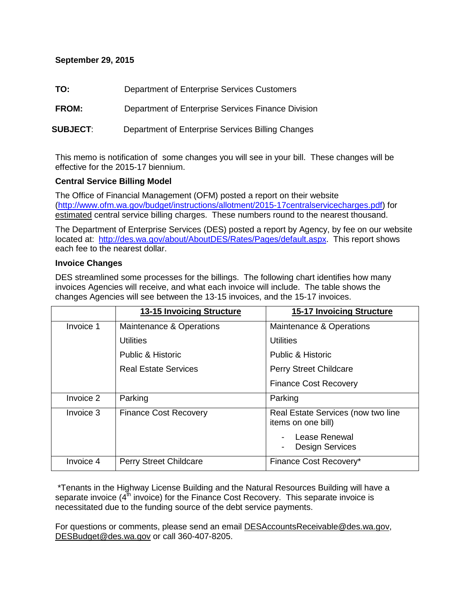## **September 29, 2015**

| TO:<br>Department of Enterprise Services Customers |
|----------------------------------------------------|
|                                                    |

**FROM:** Department of Enterprise Services Finance Division

**SUBJECT**: Department of Enterprise Services Billing Changes

This memo is notification of some changes you will see in your bill. These changes will be effective for the 2015-17 biennium.

## **Central Service Billing Model**

The Office of Financial Management (OFM) posted a report on their website [\(http://www.ofm.wa.gov/budget/instructions/allotment/2015-17centralservicecharges.pdf\)](http://www.ofm.wa.gov/budget/instructions/allotment/2015-17centralservicecharges.pdf) for estimated central service billing charges. These numbers round to the nearest thousand.

The Department of Enterprise Services (DES) posted a report by Agency, by fee on our website located at: [http://des.wa.gov/about/AboutDES/Rates/Pages/default.aspx.](http://des.wa.gov/about/AboutDES/Rates/Pages/default.aspx) This report shows each fee to the nearest dollar.

## **Invoice Changes**

DES streamlined some processes for the billings. The following chart identifies how many invoices Agencies will receive, and what each invoice will include. The table shows the changes Agencies will see between the 13-15 invoices, and the 15-17 invoices.

|           | 13-15 Invoicing Structure     | <b>15-17 Invoicing Structure</b>                         |
|-----------|-------------------------------|----------------------------------------------------------|
| Invoice 1 | Maintenance & Operations      | Maintenance & Operations                                 |
|           | <b>Utilities</b>              | <b>Utilities</b>                                         |
|           | Public & Historic             | Public & Historic                                        |
|           | <b>Real Estate Services</b>   | <b>Perry Street Childcare</b>                            |
|           |                               | <b>Finance Cost Recovery</b>                             |
| Invoice 2 | Parking                       | Parking                                                  |
| Invoice 3 | <b>Finance Cost Recovery</b>  | Real Estate Services (now two line<br>items on one bill) |
|           |                               | Lease Renewal<br><b>Design Services</b>                  |
| Invoice 4 | <b>Perry Street Childcare</b> | Finance Cost Recovery*                                   |

\*Tenants in the Highway License Building and the Natural Resources Building will have a separate invoice  $(4<sup>th</sup>$  invoice) for the Finance Cost Recovery. This separate invoice is necessitated due to the funding source of the debt service payments.

For questions or comments, please send an email [DESAccountsReceivable@des.wa.gov,](mailto:DESAccountsReceivable@des.wa.gov) [DESBudget@des.wa.gov](mailto:DESBudget@des.wa.gov) or call 360-407-8205.